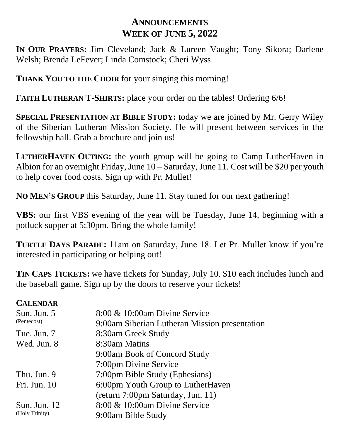## **ANNOUNCEMENTS WEEK OF JUNE 5, 2022**

**IN OUR PRAYERS:** Jim Cleveland; Jack & Lureen Vaught; Tony Sikora; Darlene Welsh; Brenda LeFever; Linda Comstock; Cheri Wyss

**THANK YOU TO THE CHOIR** for your singing this morning!

**FAITH LUTHERAN T-SHIRTS:** place your order on the tables! Ordering 6/6!

**SPECIAL PRESENTATION AT BIBLE STUDY:** today we are joined by Mr. Gerry Wiley of the Siberian Lutheran Mission Society. He will present between services in the fellowship hall. Grab a brochure and join us!

**LUTHERHAVEN OUTING:** the youth group will be going to Camp LutherHaven in Albion for an overnight Friday, June 10 – Saturday, June 11. Cost will be \$20 per youth to help cover food costs. Sign up with Pr. Mullet!

**NO MEN'S GROUP** this Saturday, June 11. Stay tuned for our next gathering!

**VBS:** our first VBS evening of the year will be Tuesday, June 14, beginning with a potluck supper at 5:30pm. Bring the whole family!

**TURTLE DAYS PARADE:** 11am on Saturday, June 18. Let Pr. Mullet know if you're interested in participating or helping out!

**TIN CAPS TICKETS:** we have tickets for Sunday, July 10. \$10 each includes lunch and the baseball game. Sign up by the doors to reserve your tickets!

## **CALENDAR**

| Sun. Jun. 5<br>(Pentecost)            | 8:00 & 10:00am Divine Service<br>9:00am Siberian Lutheran Mission presentation |
|---------------------------------------|--------------------------------------------------------------------------------|
| Tue. Jun. 7                           | 8:30am Greek Study                                                             |
| Wed. Jun. 8                           | 8:30am Matins                                                                  |
|                                       | 9:00am Book of Concord Study                                                   |
|                                       | 7:00pm Divine Service                                                          |
| Thu. Jun. 9                           | 7:00pm Bible Study (Ephesians)                                                 |
| Fri. Jun. 10                          | 6:00pm Youth Group to LutherHaven                                              |
|                                       | (return 7:00pm Saturday, Jun. 11)                                              |
| <b>Sun. Jun. 12</b><br>(Holy Trinity) | 8:00 & 10:00am Divine Service                                                  |
|                                       | 9:00am Bible Study                                                             |